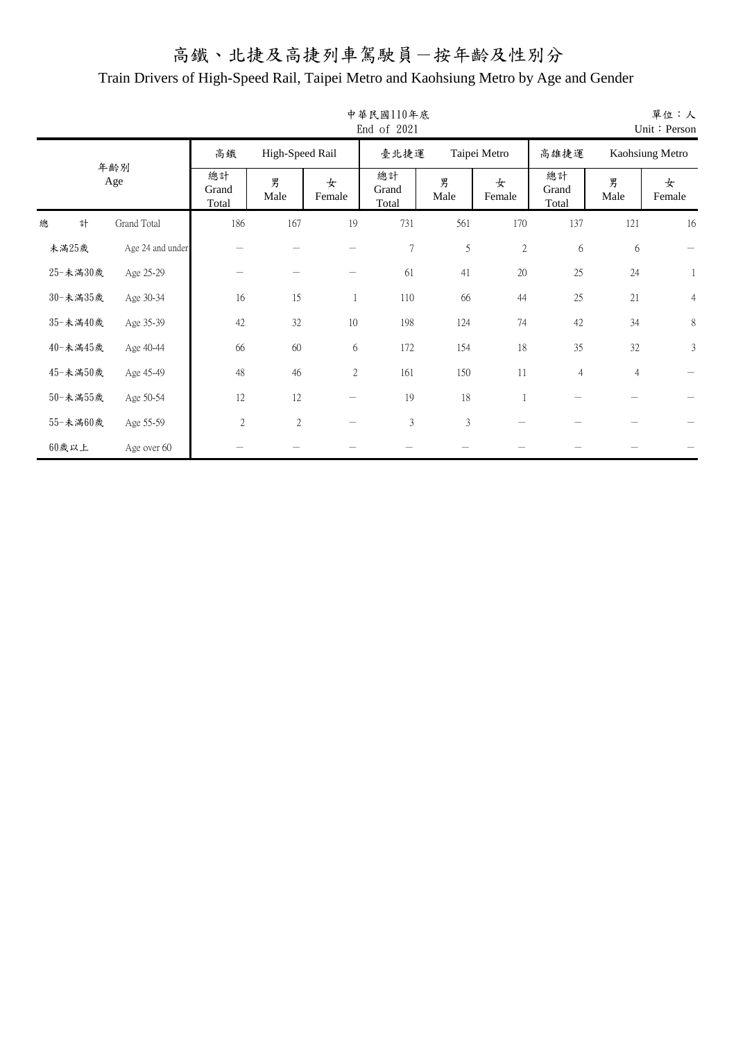|   |          |                  |                      |                 |             | 中華民國110年底<br>End of 2021 |               |              |                      |                | 單位:人<br>Unit: Person |
|---|----------|------------------|----------------------|-----------------|-------------|--------------------------|---------------|--------------|----------------------|----------------|----------------------|
|   |          |                  | 高鐵                   | High-Speed Rail |             | 臺北捷運                     |               | Taipei Metro | 高雄捷運                 |                | Kaohsiung Metro      |
|   |          | 年齡別<br>Age       | 總計<br>Grand<br>Total | 男<br>Male       | 女<br>Female | 總計<br>Grand<br>Total     | 男<br>Male     | 女<br>Female  | 總計<br>Grand<br>Total | 男<br>Male      | 女<br>Female          |
| 總 | 計        | Grand Total      | 186                  | 167             | 19          | 731                      | 561           | 170          | 137                  | 121            | 16                   |
|   | 未滿25歲    | Age 24 and under |                      |                 |             | $\sqrt{ }$               | $\mathfrak s$ | $\mathbf{2}$ | 6                    | 6              |                      |
|   | 25-未滿30歲 | Age 25-29        |                      |                 |             | 61                       | 41            | 20           | 25                   | 24             | 1                    |
|   | 30-未満35歲 | Age 30-34        | 16                   | 15              |             | 110                      | 66            | 44           | 25                   | 21             | $\overline{4}$       |
|   | 35-未滿40歲 | Age 35-39        | 42                   | 32              | $10\,$      | 198                      | 124           | 74           | 42                   | 34             | 8                    |
|   | 40-未滿45歲 | Age 40-44        | 66                   | 60              | 6           | 172                      | 154           | 18           | 35                   | 32             | $\mathfrak{Z}$       |
|   | 45-未滿50歲 | Age 45-49        | 48                   | 46              | $\sqrt{2}$  | 161                      | 150           | 11           | $\overline{4}$       | $\overline{4}$ |                      |
|   | 50-未満55歲 | Age 50-54        | 12                   | 12              |             | 19                       | 18            |              |                      |                |                      |
|   | 55-未滿60歲 | Age 55-59        | $\sqrt{2}$           | $\mathfrak{2}$  |             | $\mathfrak{Z}$           | 3             |              |                      |                |                      |
|   | $60$ 歲以上 | Age over 60      |                      |                 |             |                          |               |              |                      |                |                      |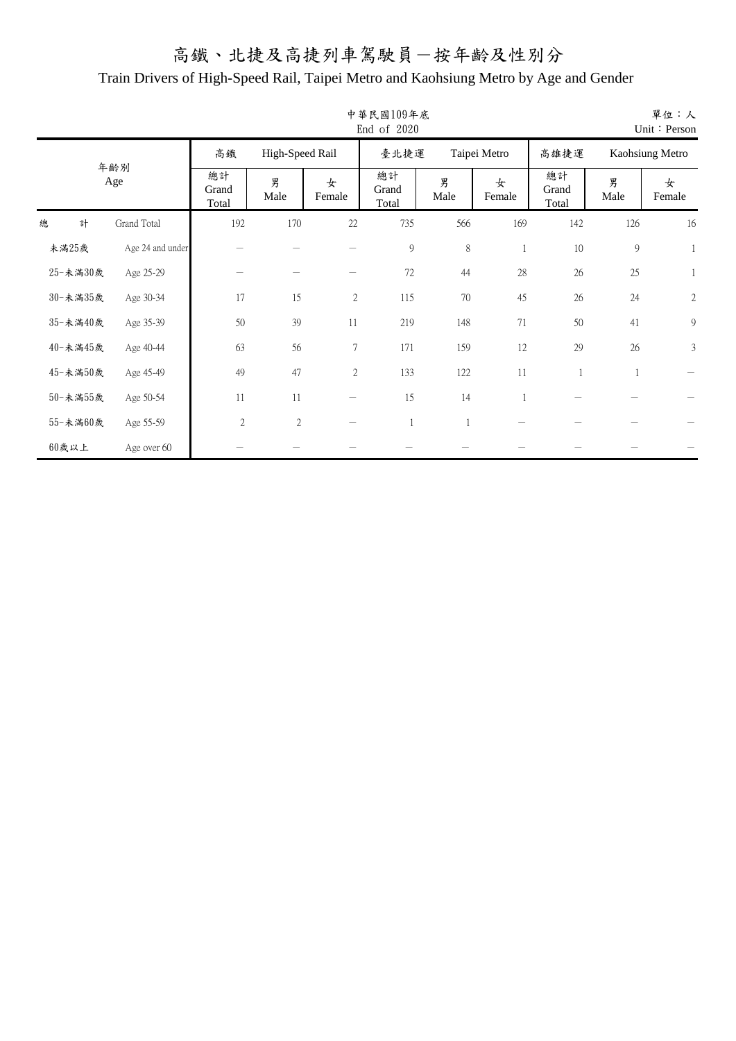|   |          |                  |                      |                 |                  | 中華民國109年底<br>End of 2020 |           |              |                      |               | 單位:人<br>Unit: Person |
|---|----------|------------------|----------------------|-----------------|------------------|--------------------------|-----------|--------------|----------------------|---------------|----------------------|
|   |          |                  | 高鐵                   | High-Speed Rail |                  | 臺北捷運                     |           | Taipei Metro | 高雄捷運                 |               | Kaohsiung Metro      |
|   |          | 年齡別<br>Age       | 總計<br>Grand<br>Total | 男<br>Male       | 女<br>Female      | 總計<br>Grand<br>Total     | 男<br>Male | 女<br>Female  | 總計<br>Grand<br>Total | 男<br>Male     | 女<br>Female          |
| 總 | 計        | Grand Total      | 192                  | 170             | 22               | 735                      | 566       | 169          | 142                  | 126           | 16                   |
|   | 未滿25歲    | Age 24 and under |                      |                 |                  | $\boldsymbol{9}$         | $\,8\,$   |              | $10\,$               | $\mathcal{G}$ | $\mathbf{1}$         |
|   | 25-未満30歲 | Age 25-29        |                      |                 |                  | 72                       | 44        | 28           | 26                   | 25            | 1                    |
|   | 30-未満35歲 | Age 30-34        | 17                   | 15              | $\sqrt{2}$       | 115                      | 70        | 45           | 26                   | 24            | $\sqrt{2}$           |
|   | 35-未滿40歲 | Age 35-39        | 50                   | 39              | 11               | 219                      | 148       | 71           | 50                   | 41            | 9                    |
|   | 40-未滿45歲 | Age 40-44        | 63                   | 56              | $\boldsymbol{7}$ | 171                      | 159       | 12           | 29                   | 26            | $\mathfrak{Z}$       |
|   | 45-未滿50歲 | Age 45-49        | 49                   | 47              | $\sqrt{2}$       | 133                      | 122       | 11           | 1                    | 1             |                      |
|   | 50-未満55歲 | Age 50-54        | $11\,$               | 11              |                  | 15                       | 14        |              |                      |               |                      |
|   | 55-未満60歲 | Age 55-59        | $\overline{2}$       | $\mathfrak{2}$  |                  | $\mathbf{1}$             |           |              |                      |               |                      |
|   | 60歲以上    | Age over 60      |                      |                 |                  |                          |           |              |                      |               |                      |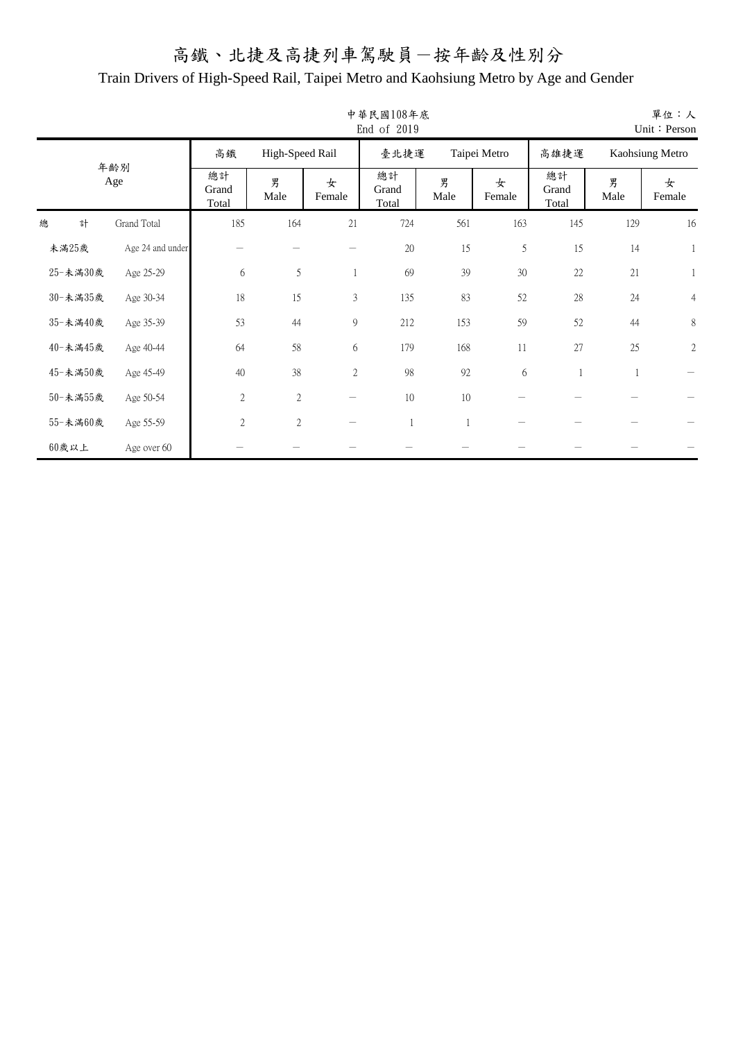|   |          |                  |                      |                 |                | 中華民國108年底<br>End of 2019 |           |              |                      |           | 單位:人<br>Unit: Person |
|---|----------|------------------|----------------------|-----------------|----------------|--------------------------|-----------|--------------|----------------------|-----------|----------------------|
|   |          |                  | 高鐵                   | High-Speed Rail |                | 臺北捷運                     |           | Taipei Metro | 高雄捷運                 |           | Kaohsiung Metro      |
|   |          | 年齡別<br>Age       | 總計<br>Grand<br>Total | 男<br>Male       | 女<br>Female    | 總計<br>Grand<br>Total     | 男<br>Male | 女<br>Female  | 總計<br>Grand<br>Total | 男<br>Male | 女<br>Female          |
| 總 | 計        | Grand Total      | 185                  | 164             | 21             | 724                      | 561       | 163          | 145                  | 129       | 16                   |
|   | 未滿25歲    | Age 24 and under |                      |                 |                | $20\,$                   | 15        | 5            | 15                   | 14        | $\mathbf{1}$         |
|   | 25-未満30歲 | Age 25-29        | 6                    | 5               |                | 69                       | 39        | 30           | 22                   | 21        | 1                    |
|   | 30-未満35歲 | Age 30-34        | 18                   | 15              | $\mathfrak{Z}$ | 135                      | 83        | 52           | $28\,$               | 24        | $\overline{4}$       |
|   | 35-未滿40歲 | Age 35-39        | 53                   | 44              | 9              | 212                      | 153       | 59           | 52                   | $44$      | 8                    |
|   | 40-未滿45歲 | Age 40-44        | 64                   | 58              | 6              | 179                      | 168       | 11           | 27                   | 25        | $\mathbf{2}$         |
|   | 45-未滿50歲 | Age 45-49        | 40                   | 38              | $\sqrt{2}$     | 98                       | 92        | 6            | 1                    | 1         |                      |
|   | 50-未満55歲 | Age 50-54        | $\sqrt{2}$           | $\sqrt{2}$      |                | 10                       | 10        |              |                      |           |                      |
|   | 55-未満60歲 | Age 55-59        | $\overline{2}$       | $\mathfrak{2}$  |                | $\mathbf{1}$             | 1         |              |                      |           |                      |
|   | 60歲以上    | Age over 60      |                      |                 |                |                          |           |              |                      |           |                      |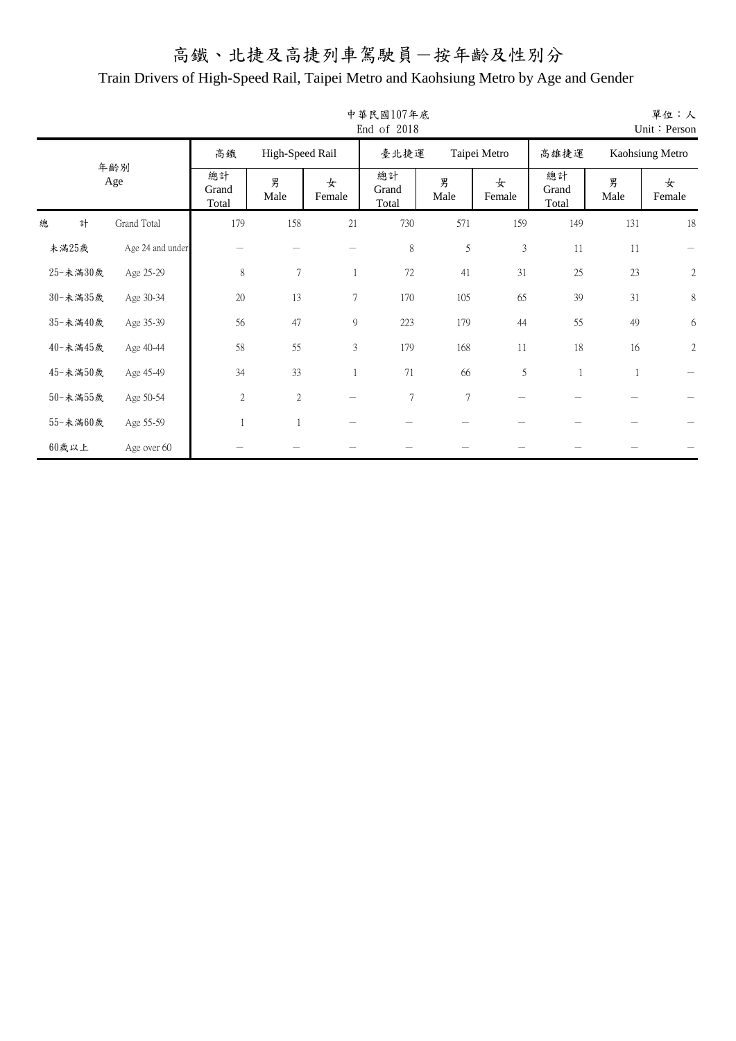|   |          |                  |                      |                 |                | 中華民國107年底<br>End of 2018 |                |                |                      |              | 單位:人<br>Unit: Person |
|---|----------|------------------|----------------------|-----------------|----------------|--------------------------|----------------|----------------|----------------------|--------------|----------------------|
|   |          |                  | 高鐵                   | High-Speed Rail |                | 臺北捷運                     |                | Taipei Metro   | 高雄捷運                 |              | Kaohsiung Metro      |
|   |          | 年齡別<br>Age       | 總計<br>Grand<br>Total | 男<br>Male       | 女<br>Female    | 總計<br>Grand<br>Total     | 男<br>Male      | 女<br>Female    | 總計<br>Grand<br>Total | 男<br>Male    | 女<br>Female          |
| 總 | 計        | Grand Total      | 179                  | 158             | 21             | 730                      | 571            | 159            | 149                  | 131          | 18                   |
|   | 未滿25歲    | Age 24 and under |                      |                 |                | $\,$ $\,$                | 5              | $\mathfrak{Z}$ | 11                   | 11           |                      |
|   | 25-未滿30歲 | Age 25-29        | $\,$ $\,$            | $\tau$          |                | $72\,$                   | 41             | 31             | 25                   | 23           | $\mathbf{2}$         |
|   | 30-未満35歲 | Age 30-34        | 20                   | 13              | 7              | 170                      | 105            | 65             | 39                   | 31           | $\,$ $\,$            |
|   | 35-未滿40歲 | Age 35-39        | 56                   | 47              | 9              | 223                      | 179            | 44             | 55                   | 49           | 6                    |
|   | 40-未滿45歲 | Age 40-44        | 58                   | 55              | $\mathfrak{Z}$ | 179                      | 168            | 11             | 18                   | 16           | $\mathbf{2}$         |
|   | 45-未滿50歲 | Age 45-49        | 34                   | 33              |                | 71                       | 66             | 5              | $\mathbf{1}$         | $\mathbf{1}$ |                      |
|   | 50-未滿55歲 | Age 50-54        | $\sqrt{2}$           | $\mathbf{2}$    |                | $\boldsymbol{7}$         | $\overline{7}$ |                |                      |              |                      |
|   | 55-未滿60歲 | Age 55-59        |                      | $\overline{1}$  |                |                          |                |                |                      |              |                      |
|   | $60$ 歲以上 | Age over 60      |                      |                 |                |                          |                |                |                      |              |                      |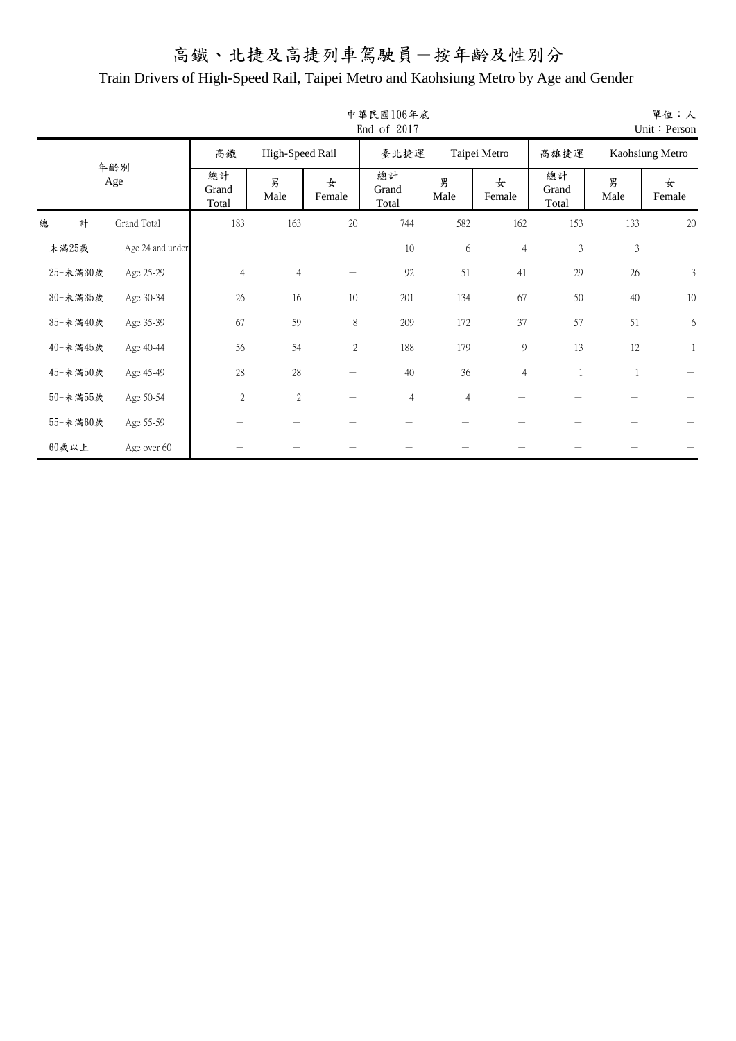|   |          |                  |                      |                 |             | 中華民國106年底<br>End of 2017 |                |                |                      |                | 單位:人<br>Unit: Person |
|---|----------|------------------|----------------------|-----------------|-------------|--------------------------|----------------|----------------|----------------------|----------------|----------------------|
|   |          |                  | 高鐵                   | High-Speed Rail |             | 臺北捷運                     |                | Taipei Metro   | 高雄捷運                 |                | Kaohsiung Metro      |
|   |          | 年齡別<br>Age       | 總計<br>Grand<br>Total | 男<br>Male       | 女<br>Female | 總計<br>Grand<br>Total     | 男<br>Male      | 女<br>Female    | 總計<br>Grand<br>Total | 男<br>Male      | 女<br>Female          |
| 總 | 計        | Grand Total      | 183                  | 163             | $20\,$      | 744                      | 582            | 162            | 153                  | 133            | 20                   |
|   | 未滿25歲    | Age 24 and under |                      |                 |             | 10                       | 6              | $\overline{4}$ | $\mathfrak z$        | $\mathfrak{Z}$ |                      |
|   | 25-未満30歲 | Age 25-29        | $\overline{4}$       | $\overline{4}$  |             | 92                       | 51             | 41             | 29                   | 26             | $\mathfrak{Z}$       |
|   | 30-未満35歲 | Age 30-34        | 26                   | 16              | 10          | 201                      | 134            | 67             | 50                   | 40             | $10\,$               |
|   | 35-未滿40歲 | Age 35-39        | 67                   | 59              | $8\,$       | 209                      | 172            | 37             | 57                   | 51             | $\epsilon$           |
|   | 40-未滿45歲 | Age 40-44        | 56                   | 54              | 2           | 188                      | 179            | 9              | 13                   | 12             |                      |
|   | 45-未滿50歲 | Age 45-49        | 28                   | 28              |             | 40                       | 36             | $\overline{4}$ | $\mathbf{1}$         | 1              |                      |
|   | 50-未満55歲 | Age 50-54        | $\overline{2}$       | $\mathbf{2}$    |             | $\overline{4}$           | $\overline{4}$ |                |                      |                |                      |
|   | 55-未満60歲 | Age 55-59        |                      |                 |             |                          |                |                |                      |                |                      |
|   | 60歲以上    | Age over 60      |                      |                 |             |                          |                |                |                      |                |                      |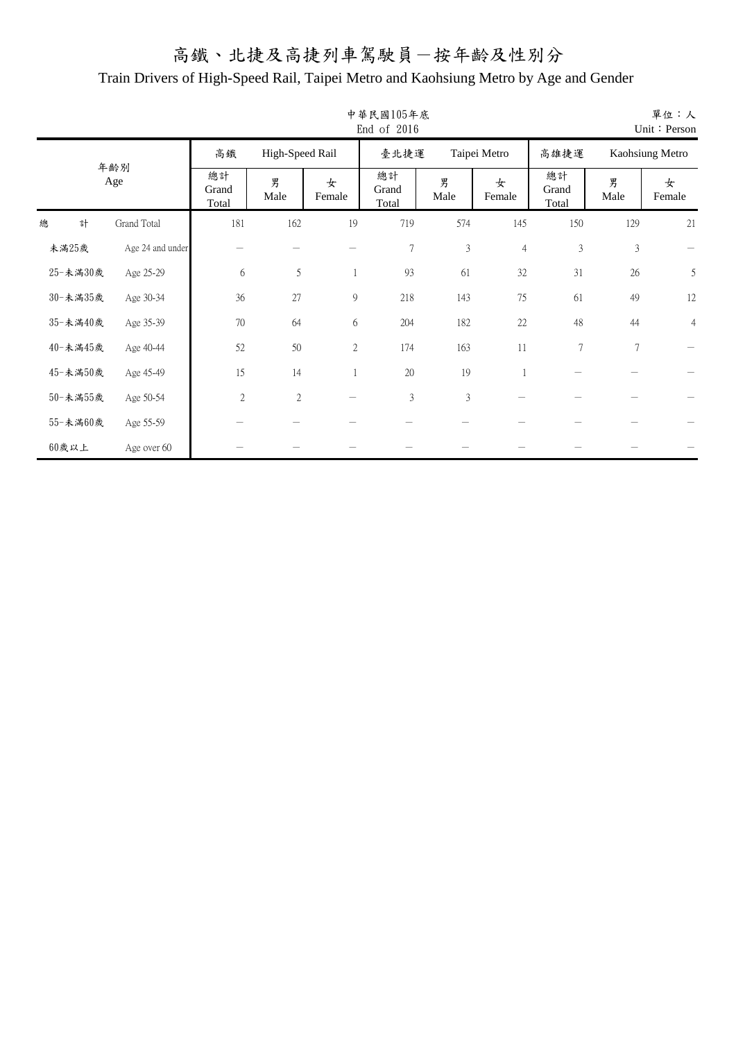|   |          |                  |                      |                 |               | 中華民國105年底<br>End of 2016 |                |                |                      |                | 單位:人<br>Unit: Person |
|---|----------|------------------|----------------------|-----------------|---------------|--------------------------|----------------|----------------|----------------------|----------------|----------------------|
|   |          |                  | 高鐵                   | High-Speed Rail |               | 臺北捷運                     |                | Taipei Metro   | 高雄捷運                 |                | Kaohsiung Metro      |
|   |          | 年齡別<br>Age       | 總計<br>Grand<br>Total | 男<br>Male       | 女<br>Female   | 總計<br>Grand<br>Total     | 男<br>Male      | 女<br>Female    | 總計<br>Grand<br>Total | 男<br>Male      | 女<br>Female          |
| 總 | 計        | Grand Total      | 181                  | 162             | 19            | 719                      | 574            | 145            | 150                  | 129            | 21                   |
|   | 未滿25歲    | Age 24 and under |                      |                 |               | $\boldsymbol{7}$         | $\mathfrak{Z}$ | $\overline{4}$ | $\mathfrak z$        | $\mathfrak{Z}$ |                      |
|   | 25-未満30歲 | Age 25-29        | 6                    | 5               | 1             | 93                       | 61             | 32             | 31                   | 26             | 5                    |
|   | 30-未満35歲 | Age 30-34        | 36                   | 27              | $\mathcal{G}$ | 218                      | 143            | 75             | 61                   | 49             | 12                   |
|   | 35-未滿40歲 | Age 35-39        | 70                   | 64              | $\sqrt{6}$    | 204                      | 182            | 22             | $48\,$               | 44             | $\overline{4}$       |
|   | 40-未滿45歲 | Age 40-44        | 52                   | 50              | 2             | 174                      | 163            | 11             | $\tau$               | $\overline{7}$ |                      |
|   | 45-未滿50歲 | Age 45-49        | 15                   | 14              | 1             | 20                       | 19             |                |                      |                |                      |
|   | 50-未満55歲 | Age 50-54        | $\overline{2}$       | $\mathbf{2}$    |               | $\mathfrak{Z}$           | $\mathfrak{Z}$ |                |                      |                |                      |
|   | 55-未満60歲 | Age 55-59        |                      |                 |               |                          |                |                |                      |                |                      |
|   | 60歲以上    | Age over 60      |                      |                 |               |                          |                |                |                      |                |                      |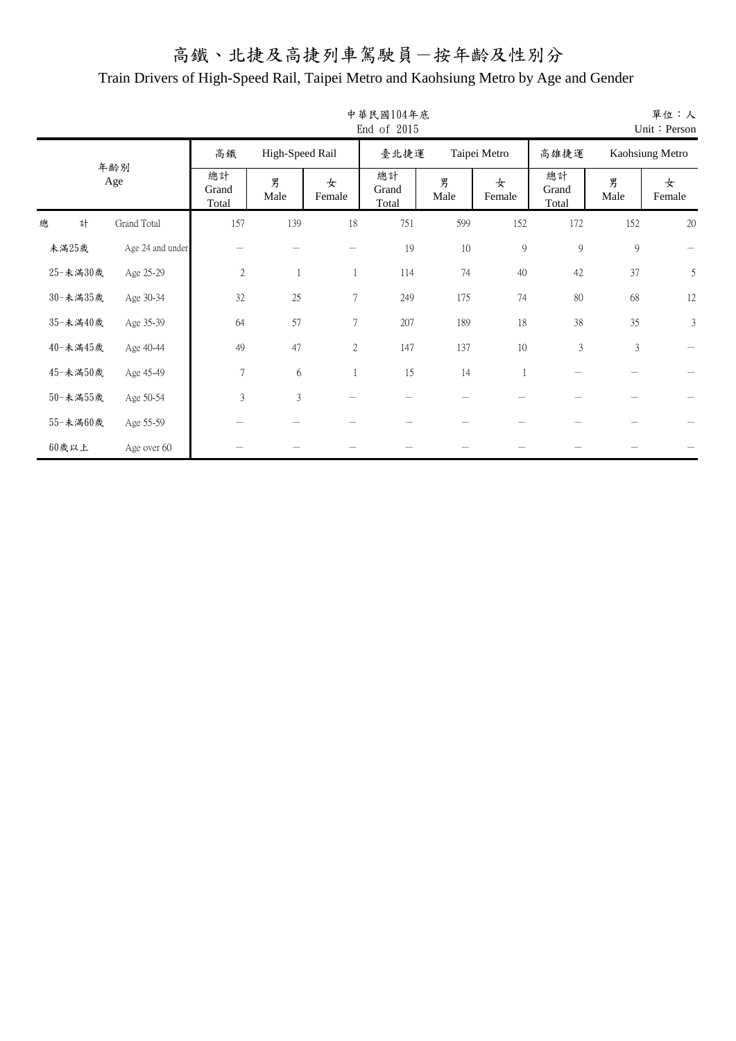|   |          |                  |                      |                 |                  | 中華民國104年底<br>End of 2015 |           |              |                      |               | 單位:人<br>Unit: Person |
|---|----------|------------------|----------------------|-----------------|------------------|--------------------------|-----------|--------------|----------------------|---------------|----------------------|
|   |          |                  | 高鐵                   | High-Speed Rail |                  | 臺北捷運                     |           | Taipei Metro | 高雄捷運                 |               | Kaohsiung Metro      |
|   |          | 年齢別<br>Age       | 總計<br>Grand<br>Total | 男<br>Male       | 女<br>Female      | 總計<br>Grand<br>Total     | 男<br>Male | 女<br>Female  | 總計<br>Grand<br>Total | 男<br>Male     | 女<br>Female          |
| 總 | 計        | Grand Total      | 157                  | 139             | 18               | 751                      | 599       | 152          | 172                  | 152           | 20                   |
|   | 未滿25歲    | Age 24 and under |                      |                 |                  | 19                       | 10        | 9            | $\mathfrak{g}$       | $\mathcal{G}$ |                      |
|   | 25-未満30歲 | Age 25-29        | $\sqrt{2}$           | -1              |                  | 114                      | 74        | 40           | 42                   | 37            | 5                    |
|   | 30-未満35歲 | Age 30-34        | 32                   | 25              | $\boldsymbol{7}$ | 249                      | 175       | 74           | $80\,$               | 68            | 12                   |
|   | 35-未滿40歲 | Age 35-39        | 64                   | 57              | $\tau$           | 207                      | 189       | 18           | 38                   | 35            | 3                    |
|   | 40-未滿45歲 | Age 40-44        | 49                   | 47              | $\mathbf{2}$     | 147                      | 137       | $10\,$       | $\mathfrak{Z}$       | $\mathfrak 3$ |                      |
|   | 45-未滿50歲 | Age 45-49        | $\overline{7}$       | 6               |                  | 15                       | 14        |              |                      |               |                      |
|   | 50-未満55歲 | Age 50-54        | 3                    | $\mathfrak{Z}$  |                  |                          |           |              |                      |               |                      |
|   | 55-未滿60歲 | Age 55-59        |                      |                 |                  |                          |           |              |                      |               |                      |
|   | $60$ 歲以上 | Age over 60      |                      |                 |                  |                          |           |              |                      |               |                      |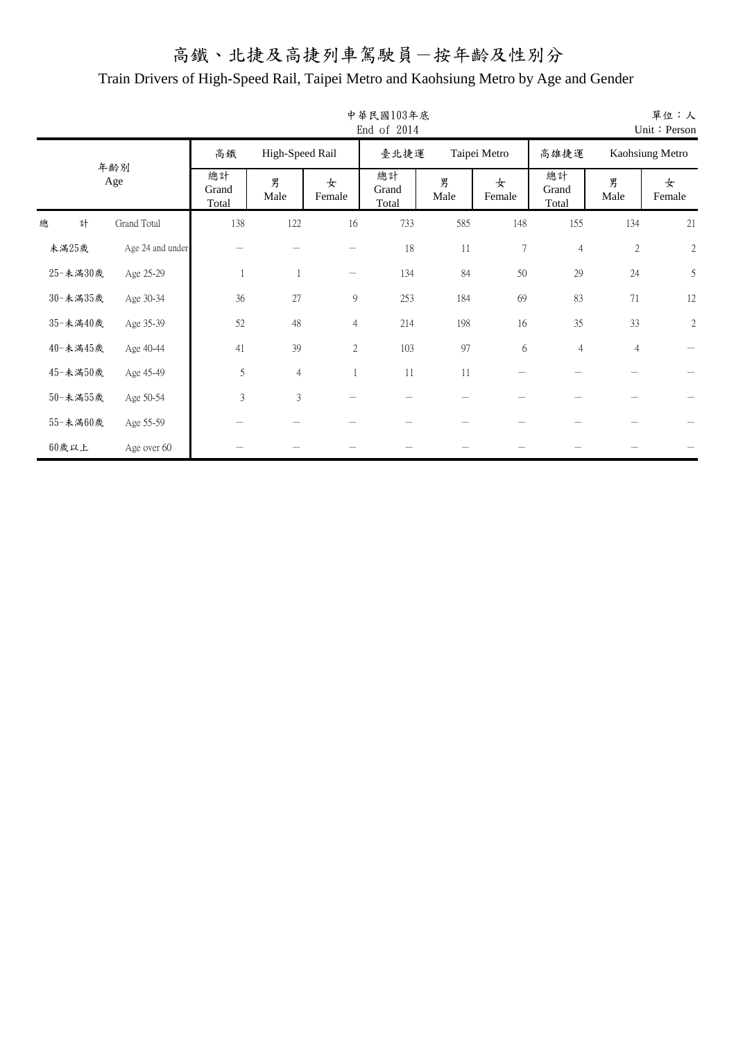|   |          |                  |                      |                 |                 | 中華民國103年底<br>End of 2014 |           |                |                      |                | 單位:人<br>Unit: Person |
|---|----------|------------------|----------------------|-----------------|-----------------|--------------------------|-----------|----------------|----------------------|----------------|----------------------|
|   |          |                  | 高鐵                   | High-Speed Rail |                 | 臺北捷運                     |           | Taipei Metro   | 高雄捷運                 |                | Kaohsiung Metro      |
|   |          | 年齢別<br>Age       | 總計<br>Grand<br>Total | 男<br>Male       | 女<br>Female     | 總計<br>Grand<br>Total     | 男<br>Male | 女<br>Female    | 總計<br>Grand<br>Total | 男<br>Male      | 女<br>Female          |
| 總 | 計        | Grand Total      | 138                  | 122             | 16              | 733                      | 585       | 148            | 155                  | 134            | 21                   |
|   | 未滿25歲    | Age 24 and under |                      |                 |                 | 18                       | 11        | $\overline{7}$ | $\overline{4}$       | $\sqrt{2}$     | $\sqrt{2}$           |
|   | 25-未満30歲 | Age 25-29        | $\mathbf{1}$         | $\overline{1}$  | $\qquad \qquad$ | 134                      | 84        | 50             | 29                   | 24             | 5                    |
|   | 30-未滿35歲 | Age 30-34        | 36                   | 27              | 9               | 253                      | 184       | 69             | 83                   | 71             | 12                   |
|   | 35-未滿40歲 | Age 35-39        | 52                   | 48              | $\overline{4}$  | 214                      | 198       | 16             | 35                   | 33             | $\sqrt{2}$           |
|   | 40-未滿45歲 | Age 40-44        | 41                   | 39              | $\mathbf{2}$    | 103                      | 97        | 6              | $\overline{4}$       | $\overline{4}$ |                      |
|   | 45-未滿50歲 | Age 45-49        | 5                    | $\overline{4}$  |                 | 11                       | 11        |                |                      |                |                      |
|   | 50-未満55歲 | Age 50-54        | $\mathfrak{Z}$       | $\mathfrak{Z}$  |                 |                          |           |                |                      |                |                      |
|   | 55-未滿60歲 | Age 55-59        |                      |                 |                 |                          |           |                |                      |                |                      |
|   | $60$ 歲以上 | Age over 60      |                      |                 |                 |                          |           |                |                      |                |                      |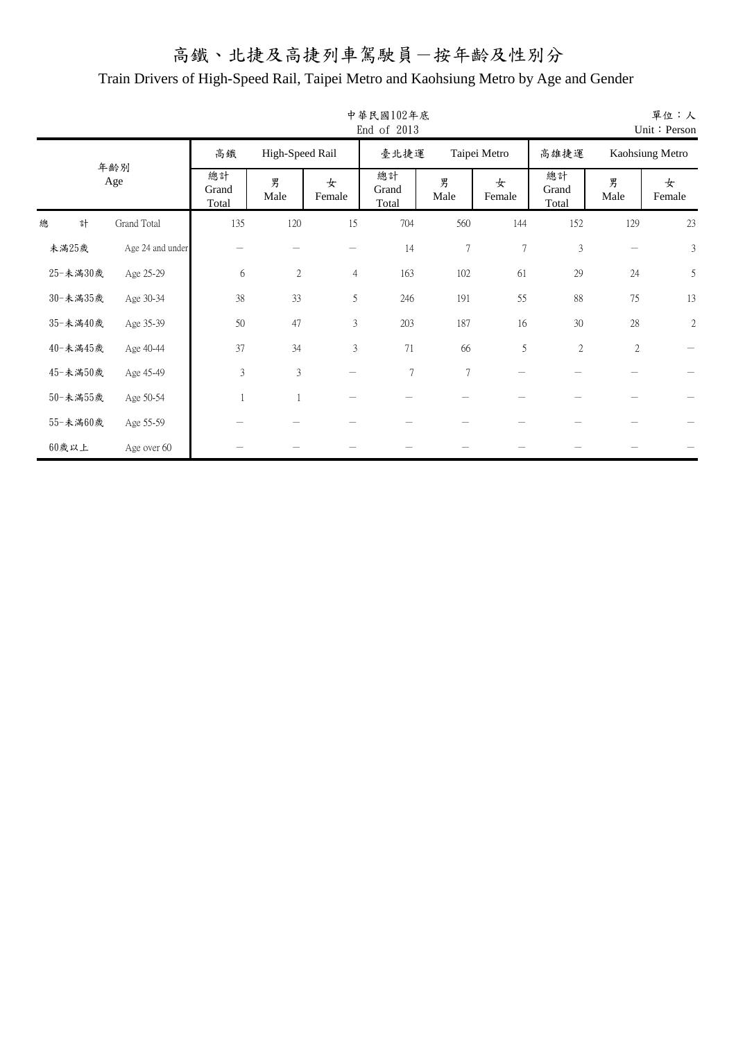|   |          |                  |                      |                 |                | 中華民國102年底<br>End of 2013 |                |                |                      |            | 單位:人<br>Unit: Person |
|---|----------|------------------|----------------------|-----------------|----------------|--------------------------|----------------|----------------|----------------------|------------|----------------------|
|   |          |                  | 高鐵                   | High-Speed Rail |                | 臺北捷運                     |                | Taipei Metro   | 高雄捷運                 |            | Kaohsiung Metro      |
|   |          | 年齢別<br>Age       | 總計<br>Grand<br>Total | 男<br>Male       | 女<br>Female    | 總計<br>Grand<br>Total     | 男<br>Male      | 女<br>Female    | 總計<br>Grand<br>Total | 男<br>Male  | 女<br>Female          |
| 總 | 計        | Grand Total      | 135                  | 120             | 15             | 704                      | 560            | 144            | 152                  | 129        | 23                   |
|   | 未滿25歲    | Age 24 and under |                      |                 |                | 14                       | $\overline{7}$ | $\overline{7}$ | $\mathfrak{Z}$       |            | 3                    |
|   | 25-未滿30歲 | Age 25-29        | 6                    | $\overline{2}$  | $\overline{4}$ | 163                      | 102            | 61             | 29                   | 24         | 5                    |
|   | 30-未滿35歲 | Age 30-34        | 38                   | 33              | 5              | 246                      | 191            | 55             | $88\,$               | 75         | 13                   |
|   | 35-未滿40歲 | Age 35-39        | 50                   | 47              | $\mathfrak{Z}$ | 203                      | 187            | 16             | 30                   | $28\,$     | $\sqrt{2}$           |
|   | 40-未滿45歲 | Age 40-44        | 37                   | 34              | $\mathfrak{Z}$ | 71                       | 66             | 5              | $\sqrt{2}$           | $\sqrt{2}$ |                      |
|   | 45-未滿50歲 | Age 45-49        | $\mathfrak{Z}$       | $\mathfrak{Z}$  |                | $\boldsymbol{7}$         | 7              |                |                      |            |                      |
|   | 50-未滿55歲 | Age 50-54        |                      | $\overline{1}$  |                |                          |                |                |                      |            |                      |
|   | 55-未滿60歲 | Age 55-59        |                      |                 |                |                          |                |                |                      |            |                      |
|   | $60$ 歲以上 | Age over 60      |                      |                 |                |                          |                |                |                      |            |                      |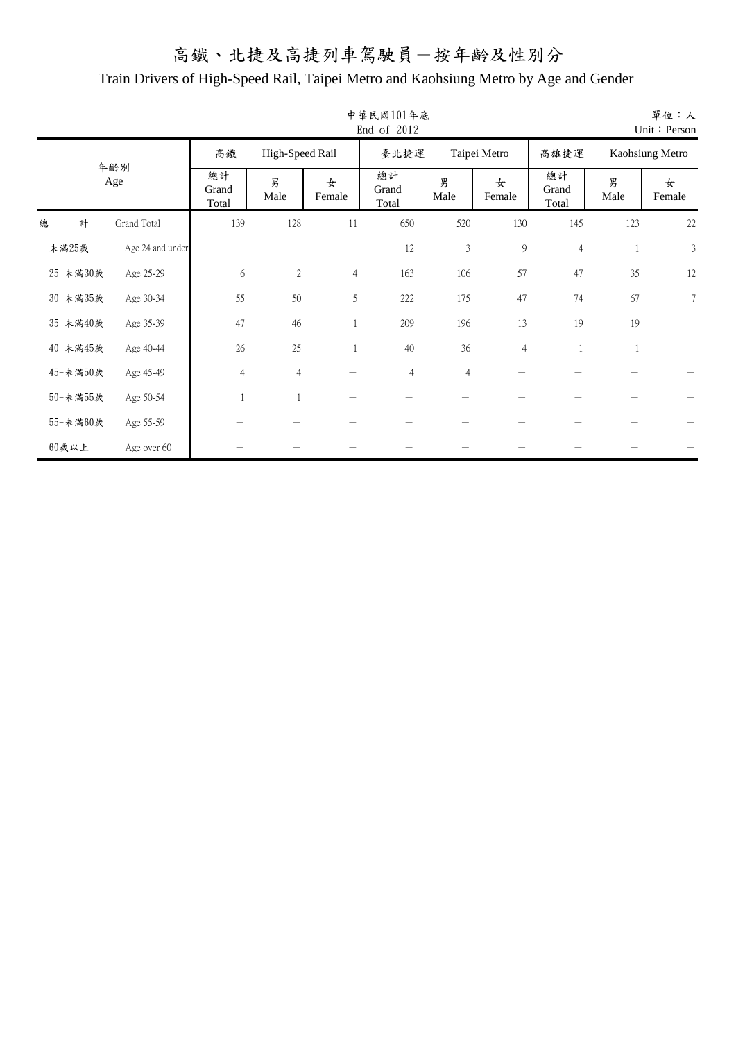|   |          |                  |                      |                 |                | 中華民國101年底<br>End of 2012 |                |                |                      |              | 單位:人<br>Unit: Person |
|---|----------|------------------|----------------------|-----------------|----------------|--------------------------|----------------|----------------|----------------------|--------------|----------------------|
|   |          |                  | 高鐵                   | High-Speed Rail |                | 臺北捷運                     |                | Taipei Metro   | 高雄捷運                 |              | Kaohsiung Metro      |
|   |          | 年齢別<br>Age       | 總計<br>Grand<br>Total | 男<br>Male       | 女<br>Female    | 總計<br>Grand<br>Total     | 男<br>Male      | 女<br>Female    | 總計<br>Grand<br>Total | 男<br>Male    | 女<br>Female          |
| 總 | 計        | Grand Total      | 139                  | 128             | 11             | 650                      | 520            | 130            | 145                  | 123          | 22                   |
|   | 未滿25歲    | Age 24 and under |                      |                 |                | 12                       | $\mathfrak{Z}$ | 9              | $\overline{4}$       |              | 3                    |
|   | 25-未滿30歲 | Age 25-29        | 6                    | $\overline{2}$  | $\overline{4}$ | 163                      | 106            | 57             | 47                   | 35           | 12                   |
|   | 30-未満35歲 | Age 30-34        | 55                   | 50              | 5              | 222                      | 175            | 47             | 74                   | 67           | $\tau$               |
|   | 35-未滿40歲 | Age 35-39        | 47                   | 46              |                | 209                      | 196            | 13             | 19                   | 19           |                      |
|   | 40-未滿45歲 | Age 40-44        | 26                   | 25              |                | 40                       | 36             | $\overline{4}$ | 1                    | $\mathbf{1}$ |                      |
|   | 45-未滿50歲 | Age 45-49        | $\overline{4}$       | $\overline{4}$  |                | $\overline{4}$           | $\overline{4}$ |                |                      |              |                      |
|   | 50-未滿55歲 | Age 50-54        |                      | $\overline{1}$  |                |                          |                |                |                      |              |                      |
|   | 55-未満60歲 | Age 55-59        |                      |                 |                |                          |                |                |                      |              |                      |
|   | $60$ 歲以上 | Age over 60      |                      |                 |                |                          |                |                |                      |              |                      |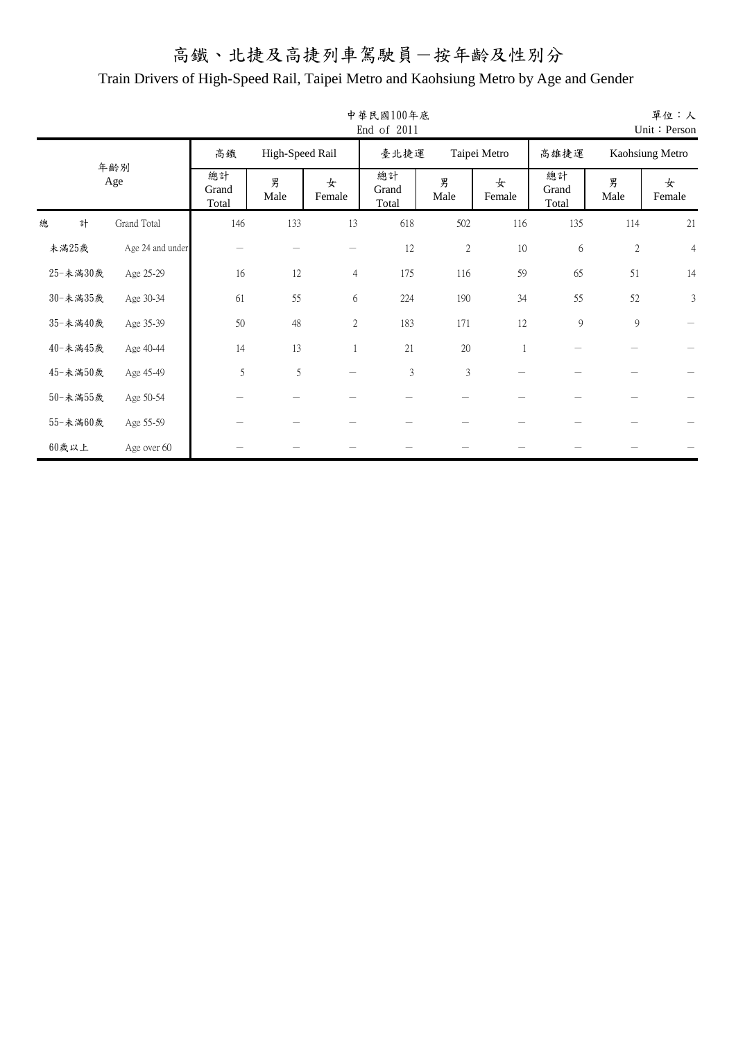|          |   |                  |                      |                 |                | 中華民國100年底<br>End of 2011 |                  |              |                      |               | 單位:人<br>Unit: Person |
|----------|---|------------------|----------------------|-----------------|----------------|--------------------------|------------------|--------------|----------------------|---------------|----------------------|
|          |   |                  | 高鐵                   | High-Speed Rail |                | 臺北捷運                     |                  | Taipei Metro | 高雄捷運                 |               | Kaohsiung Metro      |
|          |   | 年齢別<br>Age       | 總計<br>Grand<br>Total | 男<br>Male       | 女<br>Female    | 總計<br>Grand<br>Total     | 男<br>Male        | 女<br>Female  | 總計<br>Grand<br>Total | 男<br>Male     | 女<br>Female          |
| 總        | 計 | Grand Total      | 146                  | 133             | 13             | 618                      | 502              | 116          | 135                  | 114           | 21                   |
| 未滿25歲    |   | Age 24 and under |                      |                 |                | 12                       | $\boldsymbol{2}$ | 10           | 6                    | $\sqrt{2}$    | $\overline{4}$       |
| 25-未滿30歲 |   | Age 25-29        | 16                   | 12              | $\overline{4}$ | 175                      | 116              | 59           | 65                   | 51            | 14                   |
| 30-未満35歲 |   | Age 30-34        | 61                   | 55              | 6              | 224                      | 190              | 34           | 55                   | 52            | 3                    |
| 35-未滿40歲 |   | Age 35-39        | 50                   | 48              | $\mathbf{2}$   | 183                      | 171              | 12           | 9                    | $\mathcal{G}$ |                      |
| 40-未滿45歲 |   | Age 40-44        | 14                   | 13              |                | $21\,$                   | 20               | 1            |                      |               |                      |
| 45-未滿50歲 |   | Age 45-49        | 5                    | 5               |                | $\mathfrak z$            | $\mathfrak{Z}$   |              |                      |               |                      |
| 50-未滿55歲 |   | Age 50-54        |                      |                 |                |                          |                  |              |                      |               |                      |
| 55-未満60歲 |   | Age 55-59        |                      |                 |                |                          |                  |              |                      |               |                      |
| $60$ 歲以上 |   | Age over 60      |                      |                 |                |                          |                  |              |                      |               |                      |